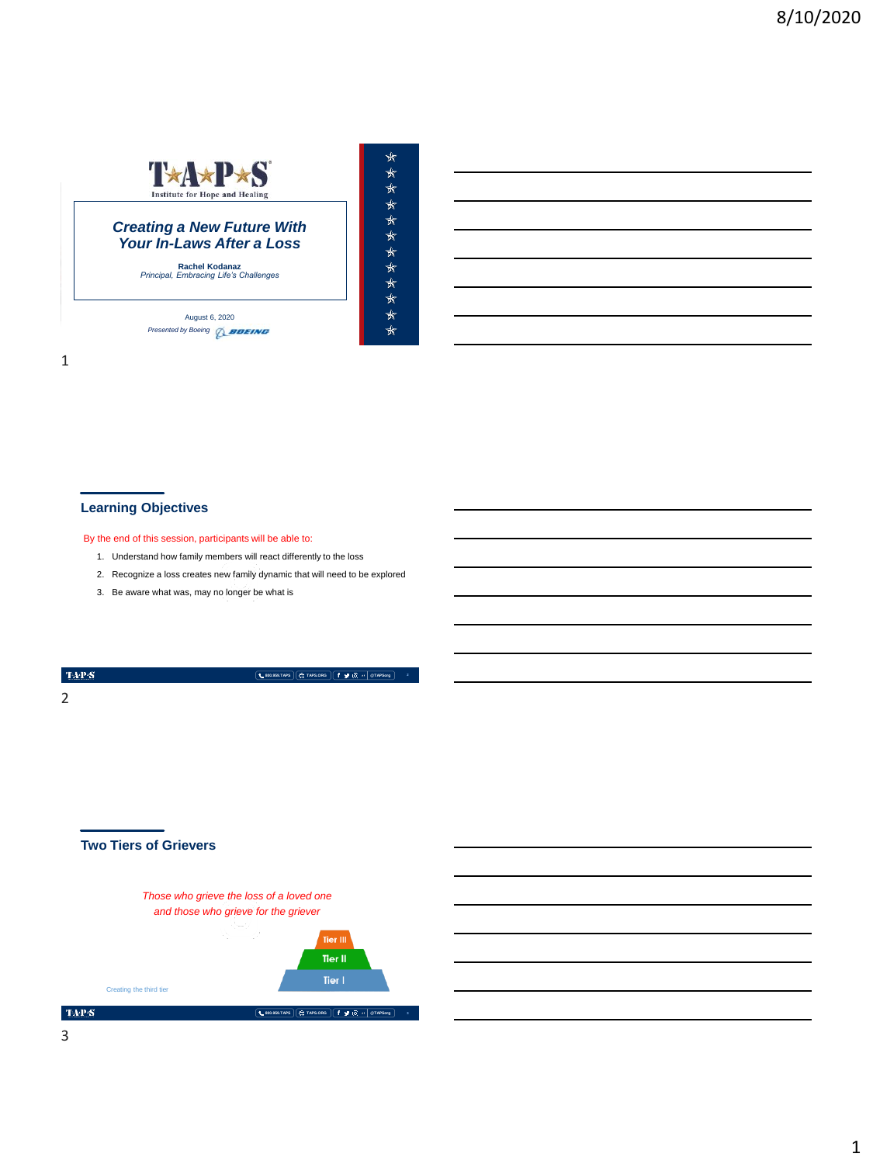

MEMORIAL DAY WEEKEND | MAY 2018

August 6, 2020 **Presented by Boeing** *Q\_BOEING*  \*\*\*\*\*\*\*\*\*\*\*\*\*

1

# **Learning Objectives**

#### By the end of this session, participants will be able to:

- 1. Understand how family members will react differently to the loss
- 2. Recognize a loss creates new family dynamic that will need to be explored

**800.959.TAPS TAPS.ORG @TAPSorg**

3. Be aware what was, may no longer be what is

 $\langle \mathbf{T} \mathbf{A} \mathbf{P} \mathbf{S} \rangle$ 2

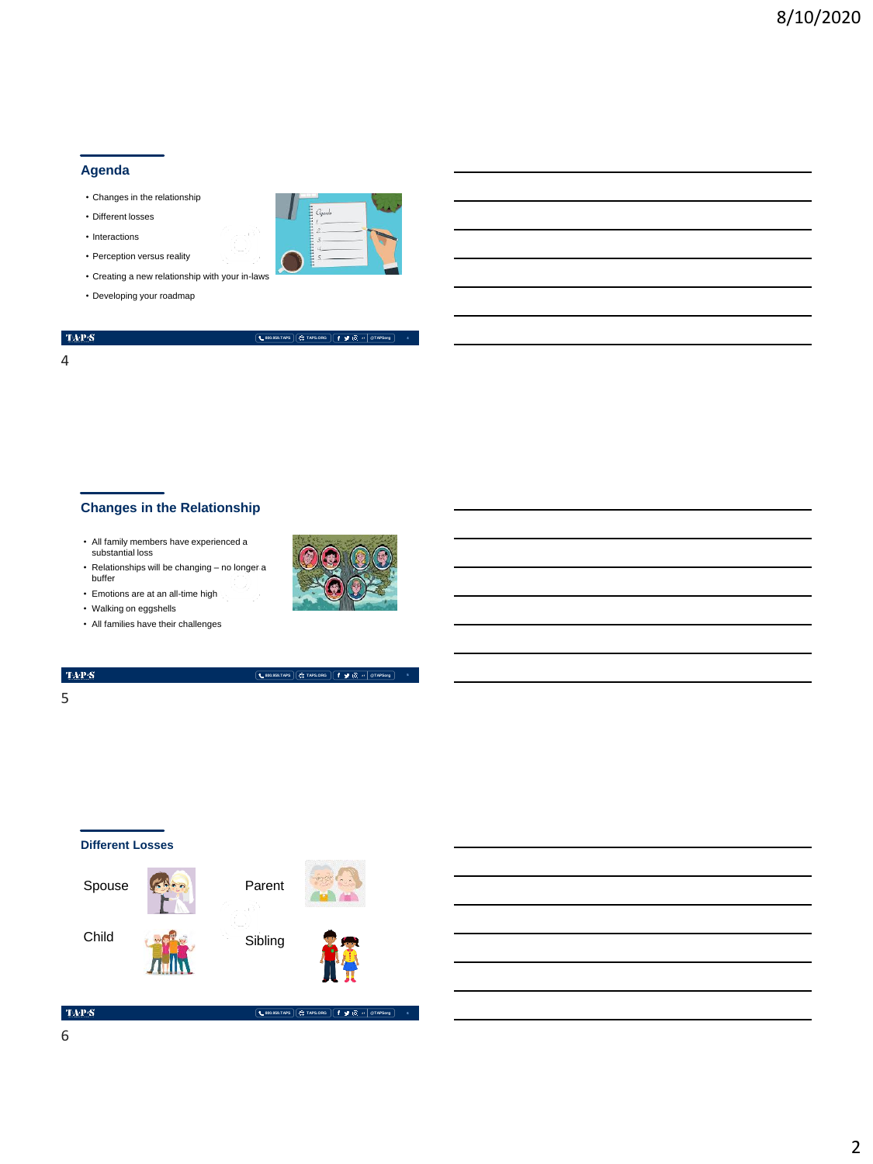#### **Agenda**

- Changes in the relationship
- Different losses
- Interactions
- Perception versus reality
- Creating a new relationship with your in-laws
- Developing your roadmap



#### **800.959.TAPS TAPS.ORG @TAPSorg**

 $Q$ gando

**800.959.TAPS TAPS.ORG @TAPSorg**

**4**

#### 4

# **Changes in the Relationship**

- All family members have experienced a substantial loss
- Relationships will be changing no longer a buffer
- Emotions are at an all-time high
- Walking on eggshells
- All families have their challenges

# TAP $\mathbf{S}$

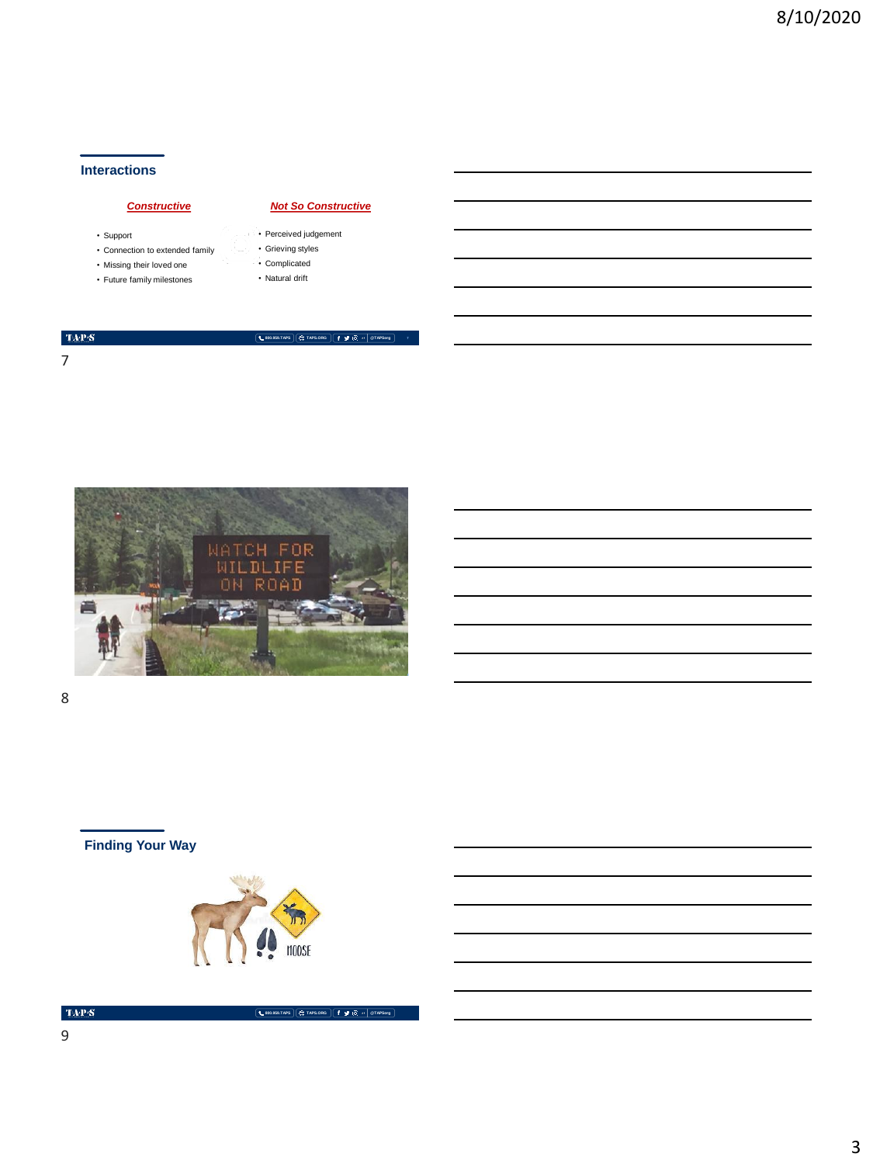## **Interactions**

### *Constructive*

- Support
- Connection to extended family
- Missing their loved one
- Future family milestones
- Perceived judgement

**800.959.TAPS TAPS.ORG @TAPSorg**

*Not So Constructive*

- Grieving styles
- Complicated • Natural drift
- 

#### $\langle \mathbf{T} \mathbf{A} \mathbf{P} \mathbf{S} \rangle$

7



8

# **Finding Your Way**



**800.959.TAPS TAPS.ORG @TAPSorg**

 $\mathrm{TaPP}(\mathbf{S})$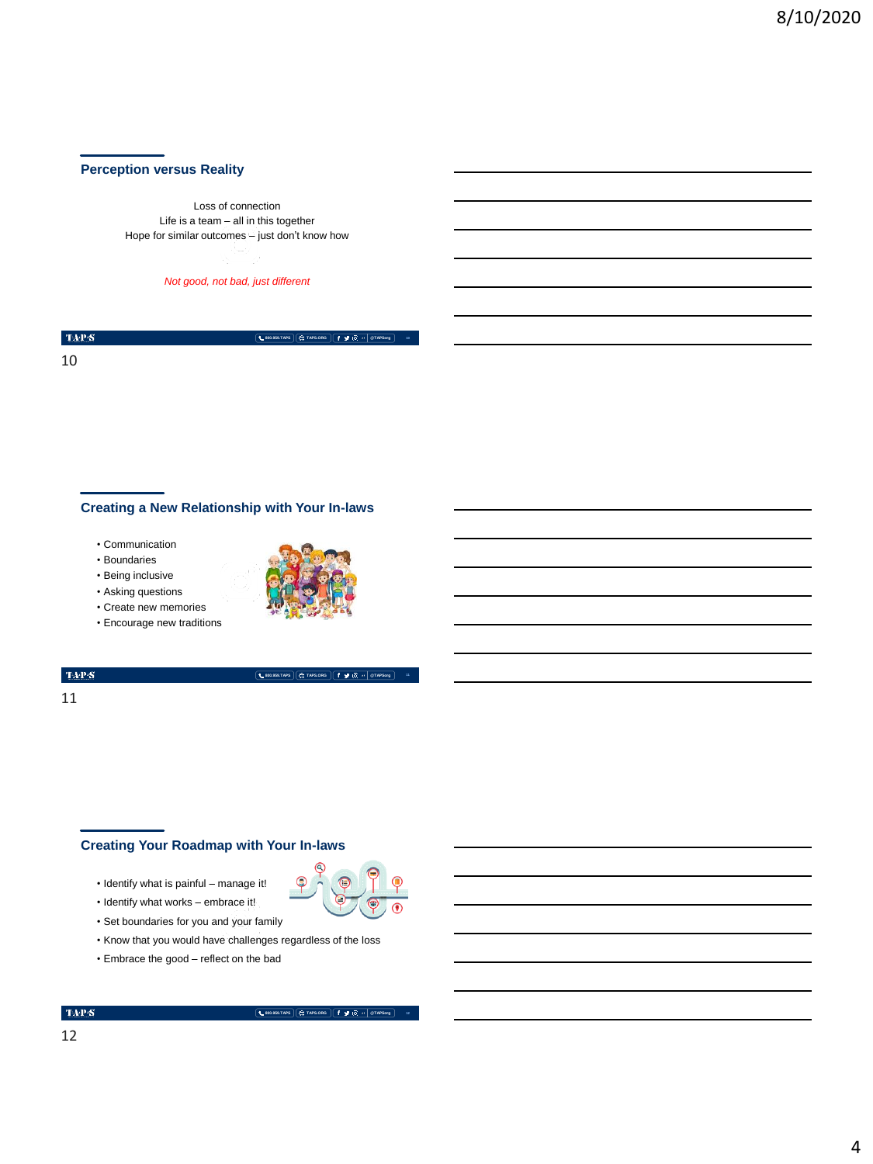## **Perception versus Reality**

Loss of connection Life is a team – all in this together Hope for similar outcomes – just don't know how

*Not good, not bad, just different* 

 $\langle \mathbf{T} \mathbf{A} \mathbf{P} \mathbf{S} \rangle$ 

**800.959.TAPS TAPS.ORG @TAPSorg**

10

### **Creating a New Relationship with Your In-laws**

- Communication
- Boundaries
- Being inclusive





• Encourage new traditions



**800.959.TAPS TAPS.ORG @TAPSorg**

 $\mathrm{TAP}S$ 

#### 11

### **Creating Your Roadmap with Your In-laws**

- Identify what is painful manage it!
- Identify what works embrace it!
- Set boundaries for you and your family
- Know that you would have challenges regardless of the loss
- Embrace the good reflect on the bad

**800.959.TAPS TAPS.ORG @TAPSorg**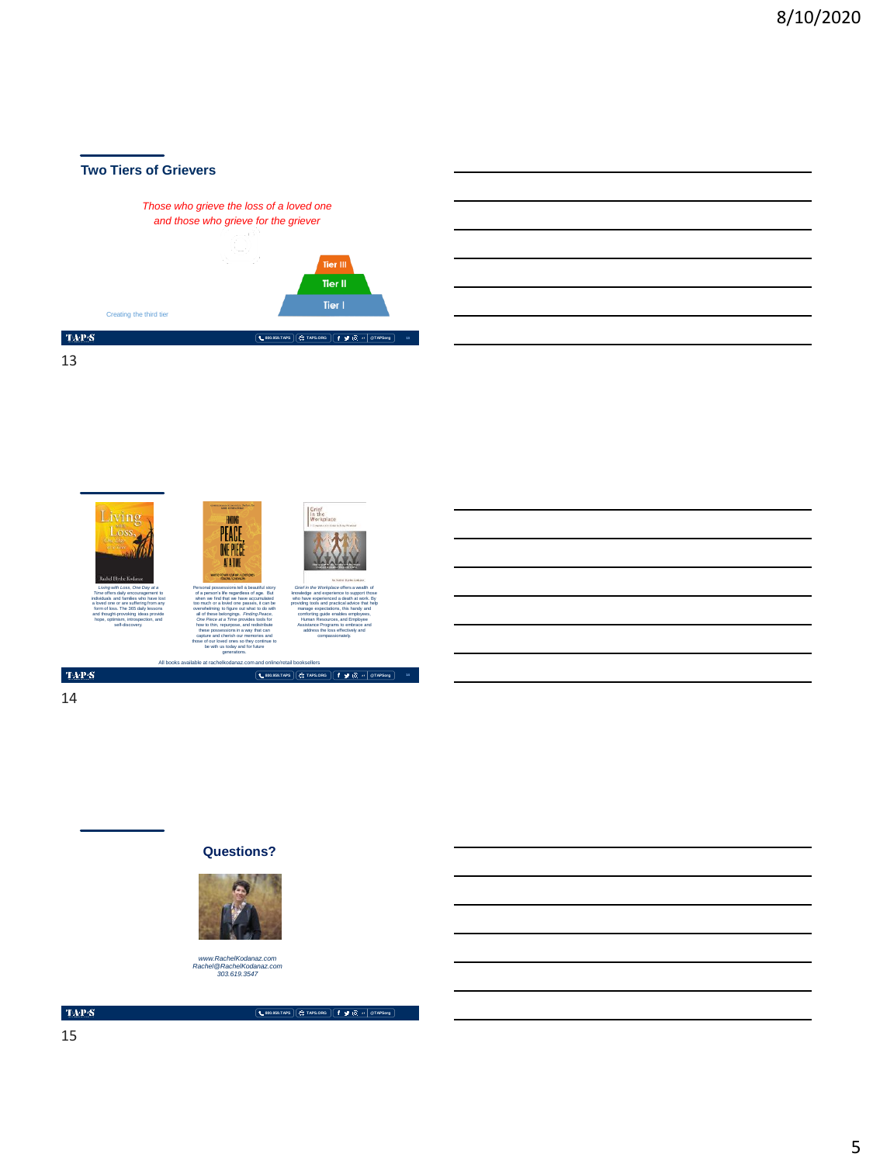

Living HUNG<br>PEACE,<br>ONE PIECE ATATINE *Living with Loss, One Day at a*  Personal possessions tell a beautiful story *Grief in the Workplace* offers a wealth of *Time* offers daily encouragement to of a person's life regardless of age. But knowledge and experience to support those individuals and families who have lost when we find that we have accumulated who have experienced a death at work. By a loved one or are suffering from any too much or a loved one passes, it can be providing tools and practical advice that help form of loss. The 365 daily lessons overwhelming to figure out what to do with manage expectations, this handy and and thought-provoking ideas provide all of these belongings. *Finding Peace,*  comforting guide enables employees, hope, optimism, introspection, and *One Piece at a Time* provides tools for Human Resources, and Employee self-discovery. how to thin, repurpose, and redistribute Assistance Programs to embrace and these possessions in a way that can address the loss effectively and capture and cherish our memories and compassionately. those of our loved ones so they continue to be with us today and for future generations. All books available at rachelkodanaz.com and online/retail booksellers  $\mbox{TAPS}$ **800.959.TAPS TAPS.ORG @TAPSorg 14**

14

13

#### **Questions?**



*www.RachelKodanaz.com Rachel@RachelKodanaz.com 303.619.3547*

 $\mathrm{TaPP}(\mathbf{S})$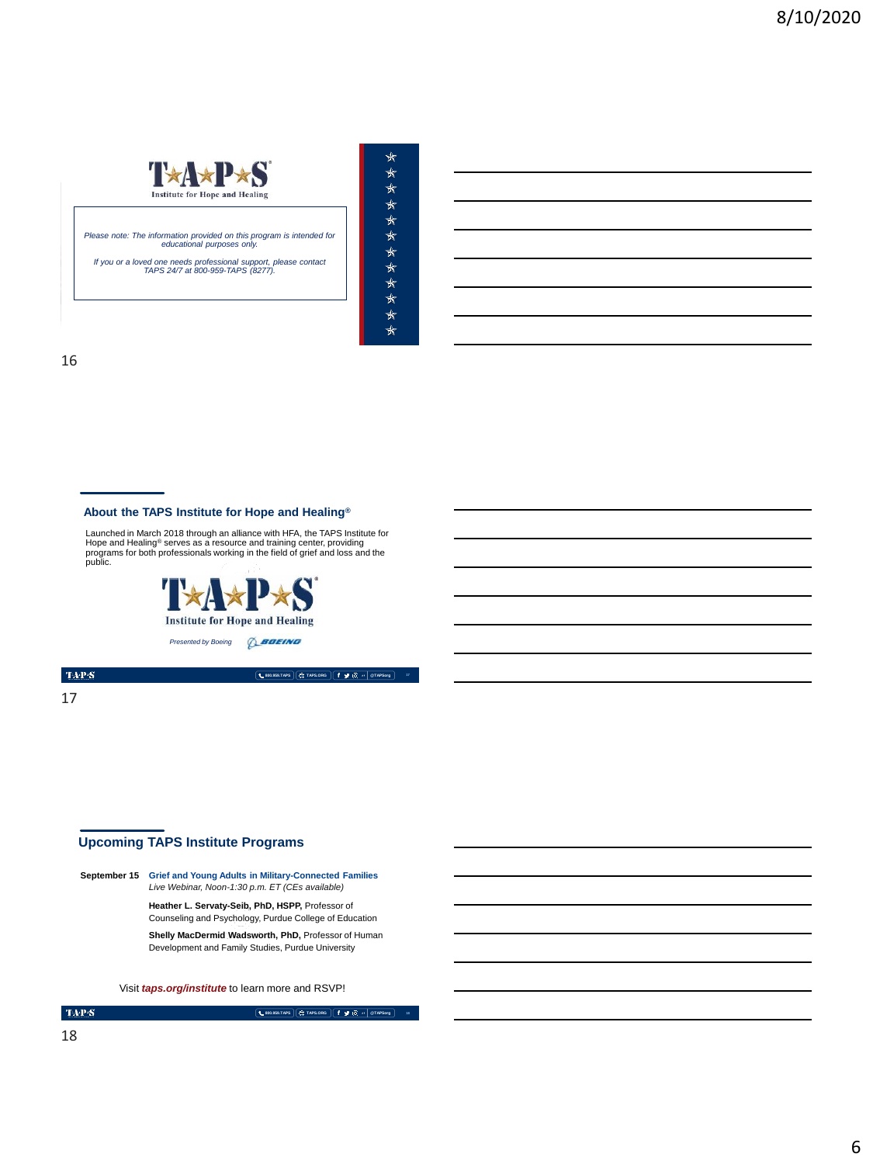

*Please note: The information provided on this program is intended for educational purposes only.* 

*If you or a loved one needs professional support, please contact TAPS 24/7 at 800-959-TAPS (8277).* 

MEMORIAL DAY WEEKEND | MAY 2018

| ★       |
|---------|
| ∗       |
| ⊀       |
| ⊀⊤      |
| ⊀⊤      |
| ⊀⊤      |
| ∗       |
| ∗       |
| $\star$ |
| $\star$ |
| ⊀⊤      |
| ⊀⊤      |
|         |

16

#### **About the TAPS Institute for Hope and Healing®**

Launched in March 2018 through an alliance with HFA, the TAPS Institute for<br>Hope and Healing<sup>®</sup> serves as a resource and training center, providing<br>programs for both professionals working in the field of grief and loss and



TAP $\mathbf S$ 

17

## **Upcoming TAPS Institute Programs**

**September 15 Grief and Young Adults in Military-Connected Families** *Live Webinar, Noon-1:30 p.m. ET (CEs available)*

**Heather L. Servaty-Seib, PhD, HSPP,** Professor of Counseling and Psychology, Purdue College of Education

**Shelly MacDermid Wadsworth, PhD,** Professor of Human Development and Family Studies, Purdue University

Visit *taps.org/institute* to learn more and RSVP!

**800.959.TAPS TAPS.ORG @TAPSorg 18**

**800.959.TAPS TAPS.ORG @TAPSorg**